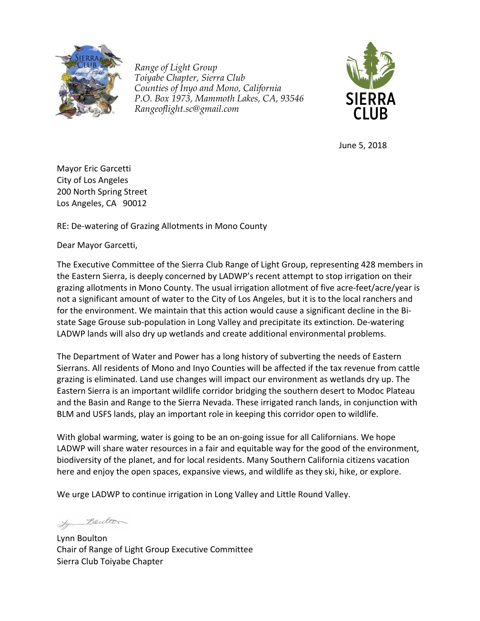

*Range of Light Group Toiyabe Chapter, Sierra Club Counties of Inyo and Mono, California P.O. Box 1973, Mammoth Lakes, CA, 93546 Rangeoflight.sc@gmail.com*



June 5, 2018

Mayor Eric Garcetti City of Los Angeles 200 North Spring Street Los Angeles, CA 90012

RE: De-watering of Grazing Allotments in Mono County

Dear Mayor Garcetti,

The Executive Committee of the Sierra Club Range of Light Group, representing 428 members in the Eastern Sierra, is deeply concerned by LADWP's recent attempt to stop irrigation on their grazing allotments in Mono County. The usual irrigation allotment of five acre-feet/acre/year is not a significant amount of water to the City of Los Angeles, but it is to the local ranchers and for the environment. We maintain that this action would cause a significant decline in the Bistate Sage Grouse sub-population in Long Valley and precipitate its extinction. De-watering LADWP lands will also dry up wetlands and create additional environmental problems.

The Department of Water and Power has a long history of subverting the needs of Eastern Sierrans. All residents of Mono and Inyo Counties will be affected if the tax revenue from cattle grazing is eliminated. Land use changes will impact our environment as wetlands dry up. The Eastern Sierra is an important wildlife corridor bridging the southern desert to Modoc Plateau and the Basin and Range to the Sierra Nevada. These irrigated ranch lands, in conjunction with BLM and USFS lands, play an important role in keeping this corridor open to wildlife.

With global warming, water is going to be an on-going issue for all Californians. We hope LADWP will share water resources in a fair and equitable way for the good of the environment, biodiversity of the planet, and for local residents. Many Southern California citizens vacation here and enjoy the open spaces, expansive views, and wildlife as they ski, hike, or explore.

We urge LADWP to continue irrigation in Long Valley and Little Round Valley.

Lyn Boulton

Lynn Boulton Chair of Range of Light Group Executive Committee Sierra Club Toiyabe Chapter